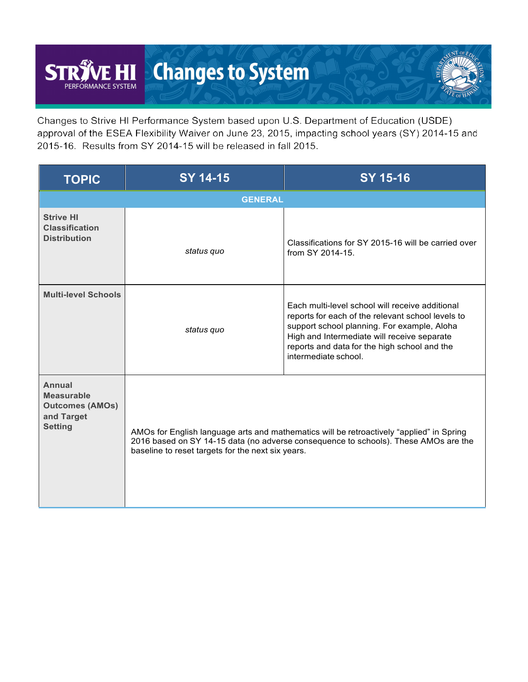## **Changes to System ST EHI** PERFORMANCE SYSTEM

Changes to Strive HI Performance System based upon U.S. Department of Education (USDE) approval of the ESEA Flexibility Waiver on June 23, 2015, impacting school years (SY) 2014-15 and 2015-16. Results from SY 2014-15 will be released in fall 2015.

| <b>TOPIC</b>                                                                          | SY 14-15                                                                                                                                                                                                                             | <b>SY 15-16</b>                                                                                                                                                                                                                                                            |  |  |  |  |  |  |
|---------------------------------------------------------------------------------------|--------------------------------------------------------------------------------------------------------------------------------------------------------------------------------------------------------------------------------------|----------------------------------------------------------------------------------------------------------------------------------------------------------------------------------------------------------------------------------------------------------------------------|--|--|--|--|--|--|
|                                                                                       | <b>GENERAL</b>                                                                                                                                                                                                                       |                                                                                                                                                                                                                                                                            |  |  |  |  |  |  |
| <b>Strive HI</b><br><b>Classification</b><br><b>Distribution</b>                      | status quo                                                                                                                                                                                                                           | Classifications for SY 2015-16 will be carried over<br>from SY 2014-15.                                                                                                                                                                                                    |  |  |  |  |  |  |
| <b>Multi-level Schools</b>                                                            | status quo                                                                                                                                                                                                                           | Each multi-level school will receive additional<br>reports for each of the relevant school levels to<br>support school planning. For example, Aloha<br>High and Intermediate will receive separate<br>reports and data for the high school and the<br>intermediate school. |  |  |  |  |  |  |
| Annual<br><b>Measurable</b><br><b>Outcomes (AMOs)</b><br>and Target<br><b>Setting</b> | AMOs for English language arts and mathematics will be retroactively "applied" in Spring<br>2016 based on SY 14-15 data (no adverse consequence to schools). These AMOs are the<br>baseline to reset targets for the next six years. |                                                                                                                                                                                                                                                                            |  |  |  |  |  |  |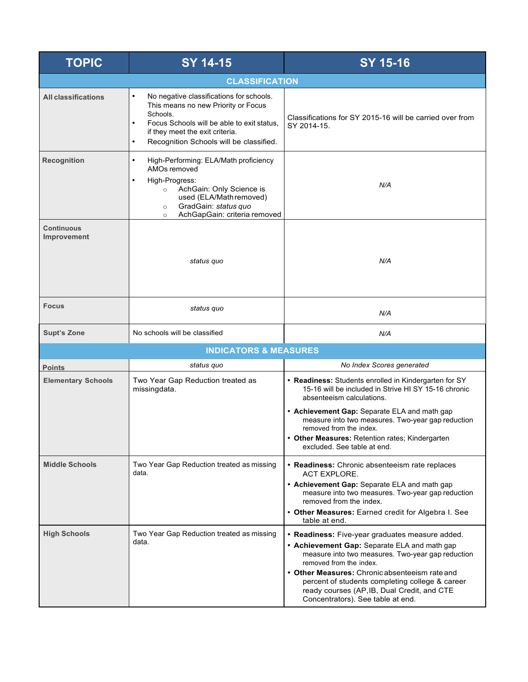| <b>TOPIC</b>                     | <b>SY 14-15</b><br>SY 15-16                                                                                                                                                                                                          |                                                                                                                                                                                                                                                                                                                                                                          |  |  |  |  |  |  |  |
|----------------------------------|--------------------------------------------------------------------------------------------------------------------------------------------------------------------------------------------------------------------------------------|--------------------------------------------------------------------------------------------------------------------------------------------------------------------------------------------------------------------------------------------------------------------------------------------------------------------------------------------------------------------------|--|--|--|--|--|--|--|
| <b>CLASSIFICATION</b>            |                                                                                                                                                                                                                                      |                                                                                                                                                                                                                                                                                                                                                                          |  |  |  |  |  |  |  |
| <b>All classifications</b>       | No negative classifications for schools.<br>$\bullet$<br>This means no new Priority or Focus<br>Schools.<br>Focus Schools will be able to exit status.<br>if they meet the exit criteria.<br>Recognition Schools will be classified. | Classifications for SY 2015-16 will be carried over from<br>SY 2014-15.                                                                                                                                                                                                                                                                                                  |  |  |  |  |  |  |  |
| <b>Recognition</b>               | High-Performing: ELA/Math proficiency<br>$\bullet$<br>AMOs removed<br>High-Progress:<br>AchGain: Only Science is<br>$\circ$<br>used (ELA/Mathremoved)<br>GradGain: status quo<br>$\circ$<br>AchGapGain: criteria removed<br>$\circ$  | N/A                                                                                                                                                                                                                                                                                                                                                                      |  |  |  |  |  |  |  |
| <b>Continuous</b><br>Improvement | status quo                                                                                                                                                                                                                           | N/A                                                                                                                                                                                                                                                                                                                                                                      |  |  |  |  |  |  |  |
| <b>Focus</b>                     | status quo                                                                                                                                                                                                                           | N/A                                                                                                                                                                                                                                                                                                                                                                      |  |  |  |  |  |  |  |
| <b>Supt's Zone</b>               | No schools will be classified                                                                                                                                                                                                        | N/A                                                                                                                                                                                                                                                                                                                                                                      |  |  |  |  |  |  |  |
|                                  | <b>INDICATORS &amp; MEASURES</b>                                                                                                                                                                                                     |                                                                                                                                                                                                                                                                                                                                                                          |  |  |  |  |  |  |  |
| <b>Points</b>                    | status quo                                                                                                                                                                                                                           | No Index Scores generated                                                                                                                                                                                                                                                                                                                                                |  |  |  |  |  |  |  |
| <b>Elementary Schools</b>        | Two Year Gap Reduction treated as<br>missingdata.                                                                                                                                                                                    | • Readiness: Students enrolled in Kindergarten for SY<br>15-16 will be included in Strive HI SY 15-16 chronic<br>absenteeism calculations.<br>• Achievement Gap: Separate ELA and math gap<br>measure into two measures. Two-year gap reduction<br>removed from the index.<br>Other Measures: Retention rates; Kindergarten<br>excluded. See table at end.               |  |  |  |  |  |  |  |
| <b>Middle Schools</b>            | Two Year Gap Reduction treated as missing<br>data.                                                                                                                                                                                   | • Readiness: Chronic absenteeism rate replaces<br><b>ACT EXPLORE.</b><br>• Achievement Gap: Separate ELA and math gap<br>measure into two measures. Two-year gap reduction<br>removed from the index.<br>• Other Measures: Earned credit for Algebra I. See<br>table at end.                                                                                             |  |  |  |  |  |  |  |
| <b>High Schools</b>              | Two Year Gap Reduction treated as missing<br>data.                                                                                                                                                                                   | • Readiness: Five-year graduates measure added.<br>• Achievement Gap: Separate ELA and math gap<br>measure into two measures. Two-year gap reduction<br>removed from the index.<br>• Other Measures: Chronic absenteeism rate and<br>percent of students completing college & career<br>ready courses (AP, IB, Dual Credit, and CTE<br>Concentrators). See table at end. |  |  |  |  |  |  |  |